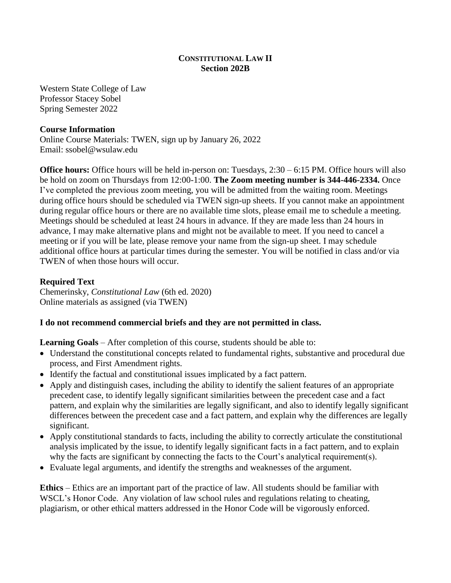### **CONSTITUTIONAL LAW II Section 202B**

Western State College of Law Professor Stacey Sobel Spring Semester 2022

### **Course Information**

Online Course Materials: TWEN, sign up by January 26, 2022 Email: ssobel@wsulaw.edu

**Office hours:** Office hours will be held in-person on: Tuesdays, 2:30 – 6:15 PM. Office hours will also be hold on zoom on Thursdays from 12:00-1:00. **The Zoom meeting number is 344-446-2334.** Once I've completed the previous zoom meeting, you will be admitted from the waiting room. Meetings during office hours should be scheduled via TWEN sign-up sheets. If you cannot make an appointment during regular office hours or there are no available time slots, please email me to schedule a meeting. Meetings should be scheduled at least 24 hours in advance. If they are made less than 24 hours in advance, I may make alternative plans and might not be available to meet. If you need to cancel a meeting or if you will be late, please remove your name from the sign-up sheet. I may schedule additional office hours at particular times during the semester. You will be notified in class and/or via TWEN of when those hours will occur.

### **Required Text**

Chemerinsky, *Constitutional Law* (6th ed. 2020) Online materials as assigned (via TWEN)

## **I do not recommend commercial briefs and they are not permitted in class.**

**Learning Goals** – After completion of this course, students should be able to:

- Understand the constitutional concepts related to fundamental rights, substantive and procedural due process, and First Amendment rights.
- Identify the factual and constitutional issues implicated by a fact pattern.
- Apply and distinguish cases, including the ability to identify the salient features of an appropriate precedent case, to identify legally significant similarities between the precedent case and a fact pattern, and explain why the similarities are legally significant, and also to identify legally significant differences between the precedent case and a fact pattern, and explain why the differences are legally significant.
- Apply constitutional standards to facts, including the ability to correctly articulate the constitutional analysis implicated by the issue, to identify legally significant facts in a fact pattern, and to explain why the facts are significant by connecting the facts to the Court's analytical requirement(s).
- Evaluate legal arguments, and identify the strengths and weaknesses of the argument.

**Ethics** – Ethics are an important part of the practice of law. All students should be familiar with WSCL's Honor Code. Any violation of law school rules and regulations relating to cheating, plagiarism, or other ethical matters addressed in the Honor Code will be vigorously enforced.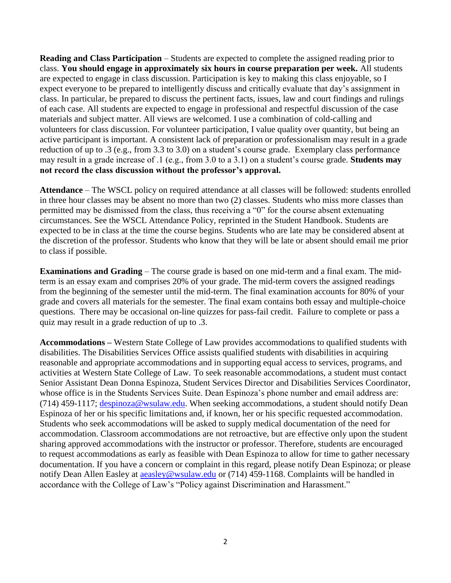**Reading and Class Participation** – Students are expected to complete the assigned reading prior to class. **You should engage in approximately six hours in course preparation per week.** All students are expected to engage in class discussion. Participation is key to making this class enjoyable, so I expect everyone to be prepared to intelligently discuss and critically evaluate that day's assignment in class. In particular, be prepared to discuss the pertinent facts, issues, law and court findings and rulings of each case. All students are expected to engage in professional and respectful discussion of the case materials and subject matter. All views are welcomed. I use a combination of cold-calling and volunteers for class discussion. For volunteer participation, I value quality over quantity, but being an active participant is important. A consistent lack of preparation or professionalism may result in a grade reduction of up to .3 (e.g., from 3.3 to 3.0) on a student's course grade. Exemplary class performance may result in a grade increase of .1 (e.g., from 3.0 to a 3.1) on a student's course grade. **Students may not record the class discussion without the professor's approval.**

**Attendance** – The WSCL policy on required attendance at all classes will be followed: students enrolled in three hour classes may be absent no more than two (2) classes. Students who miss more classes than permitted may be dismissed from the class, thus receiving a "0" for the course absent extenuating circumstances. See the WSCL Attendance Policy, reprinted in the Student Handbook. Students are expected to be in class at the time the course begins. Students who are late may be considered absent at the discretion of the professor. Students who know that they will be late or absent should email me prior to class if possible.

**Examinations and Grading** – The course grade is based on one mid-term and a final exam. The midterm is an essay exam and comprises 20% of your grade. The mid-term covers the assigned readings from the beginning of the semester until the mid-term. The final examination accounts for 80% of your grade and covers all materials for the semester. The final exam contains both essay and multiple-choice questions. There may be occasional on-line quizzes for pass-fail credit. Failure to complete or pass a quiz may result in a grade reduction of up to .3.

**Accommodations –** Western State College of Law provides accommodations to qualified students with disabilities. The Disabilities Services Office assists qualified students with disabilities in acquiring reasonable and appropriate accommodations and in supporting equal access to services, programs, and activities at Western State College of Law. To seek reasonable accommodations, a student must contact Senior Assistant Dean Donna Espinoza, Student Services Director and Disabilities Services Coordinator, whose office is in the Students Services Suite. Dean Espinoza's phone number and email address are: (714) 459-1117; [despinoza@wsulaw.edu.](mailto:despinoza@wsulaw.edu) When seeking accommodations, a student should notify Dean Espinoza of her or his specific limitations and, if known, her or his specific requested accommodation. Students who seek accommodations will be asked to supply medical documentation of the need for accommodation. Classroom accommodations are not retroactive, but are effective only upon the student sharing approved accommodations with the instructor or professor. Therefore, students are encouraged to request accommodations as early as feasible with Dean Espinoza to allow for time to gather necessary documentation. If you have a concern or complaint in this regard, please notify Dean Espinoza; or please notify Dean Allen Easley at [aeasley@wsulaw.edu](mailto:aeasley@wsulaw.edu) or (714) 459-1168. Complaints will be handled in accordance with the College of Law's "Policy against Discrimination and Harassment."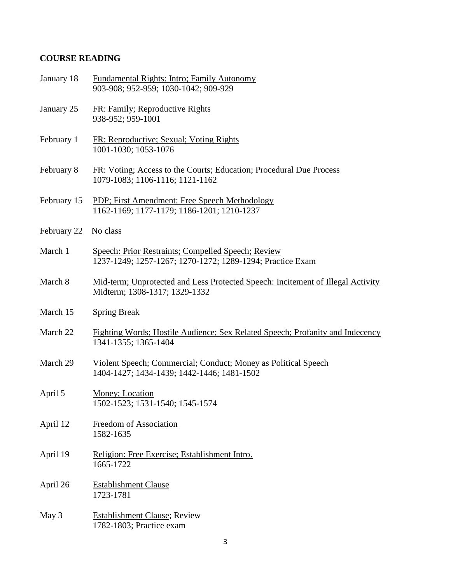# **COURSE READING**

| January 18  | Fundamental Rights: Intro; Family Autonomy<br>903-908; 952-959; 1030-1042; 909-929                               |
|-------------|------------------------------------------------------------------------------------------------------------------|
| January 25  | FR: Family; Reproductive Rights<br>938-952; 959-1001                                                             |
| February 1  | FR: Reproductive; Sexual; Voting Rights<br>1001-1030; 1053-1076                                                  |
| February 8  | FR: Voting; Access to the Courts; Education; Procedural Due Process<br>1079-1083; 1106-1116; 1121-1162           |
| February 15 | PDP; First Amendment: Free Speech Methodology<br>1162-1169; 1177-1179; 1186-1201; 1210-1237                      |
| February 22 | No class                                                                                                         |
| March 1     | Speech: Prior Restraints; Compelled Speech; Review<br>1237-1249; 1257-1267; 1270-1272; 1289-1294; Practice Exam  |
| March 8     | Mid-term; Unprotected and Less Protected Speech: Incitement of Illegal Activity<br>Midterm; 1308-1317; 1329-1332 |
| March 15    | <b>Spring Break</b>                                                                                              |
| March 22    | Fighting Words; Hostile Audience; Sex Related Speech; Profanity and Indecency<br>1341-1355; 1365-1404            |
| March 29    | Violent Speech; Commercial; Conduct; Money as Political Speech<br>1404-1427; 1434-1439; 1442-1446; 1481-1502     |
| April 5     | Money; Location<br>1502-1523; 1531-1540; 1545-1574                                                               |
| April 12    | Freedom of Association<br>1582-1635                                                                              |
| April 19    | Religion: Free Exercise; Establishment Intro.<br>1665-1722                                                       |
| April 26    | <b>Establishment Clause</b><br>1723-1781                                                                         |
| May 3       | <b>Establishment Clause; Review</b><br>1782-1803; Practice exam                                                  |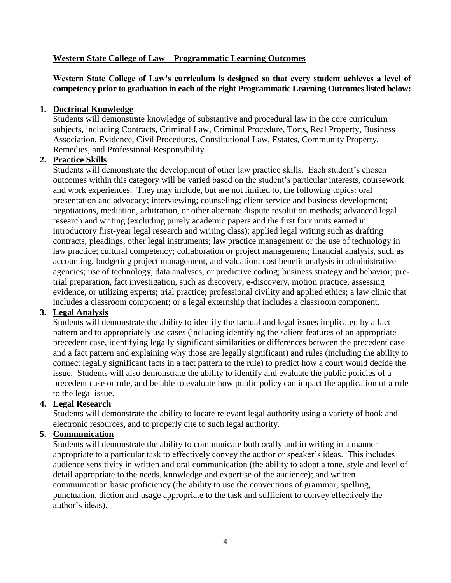## **Western State College of Law – Programmatic Learning Outcomes**

**Western State College of Law's curriculum is designed so that every student achieves a level of competency prior to graduation in each of the eight Programmatic Learning Outcomes listed below:**

#### **1. Doctrinal Knowledge**

Students will demonstrate knowledge of substantive and procedural law in the core curriculum subjects, including Contracts, Criminal Law, Criminal Procedure, Torts, Real Property, Business Association, Evidence, Civil Procedures, Constitutional Law, Estates, Community Property, Remedies, and Professional Responsibility.

### **2. Practice Skills**

Students will demonstrate the development of other law practice skills. Each student's chosen outcomes within this category will be varied based on the student's particular interests, coursework and work experiences. They may include, but are not limited to, the following topics: oral presentation and advocacy; interviewing; counseling; client service and business development; negotiations, mediation, arbitration, or other alternate dispute resolution methods; advanced legal research and writing (excluding purely academic papers and the first four units earned in introductory first-year legal research and writing class); applied legal writing such as drafting contracts, pleadings, other legal instruments; law practice management or the use of technology in law practice; cultural competency; collaboration or project management; financial analysis, such as accounting, budgeting project management, and valuation; cost benefit analysis in administrative agencies; use of technology, data analyses, or predictive coding; business strategy and behavior; pretrial preparation, fact investigation, such as discovery, e-discovery, motion practice, assessing evidence, or utilizing experts; trial practice; professional civility and applied ethics; a law clinic that includes a classroom component; or a legal externship that includes a classroom component.

### **3. Legal Analysis**

Students will demonstrate the ability to identify the factual and legal issues implicated by a fact pattern and to appropriately use cases (including identifying the salient features of an appropriate precedent case, identifying legally significant similarities or differences between the precedent case and a fact pattern and explaining why those are legally significant) and rules (including the ability to connect legally significant facts in a fact pattern to the rule) to predict how a court would decide the issue. Students will also demonstrate the ability to identify and evaluate the public policies of a precedent case or rule, and be able to evaluate how public policy can impact the application of a rule to the legal issue.

#### **4. Legal Research**

Students will demonstrate the ability to locate relevant legal authority using a variety of book and electronic resources, and to properly cite to such legal authority.

#### **5. Communication**

Students will demonstrate the ability to communicate both orally and in writing in a manner appropriate to a particular task to effectively convey the author or speaker's ideas. This includes audience sensitivity in written and oral communication (the ability to adopt a tone, style and level of detail appropriate to the needs, knowledge and expertise of the audience); and written communication basic proficiency (the ability to use the conventions of grammar, spelling, punctuation, diction and usage appropriate to the task and sufficient to convey effectively the author's ideas).